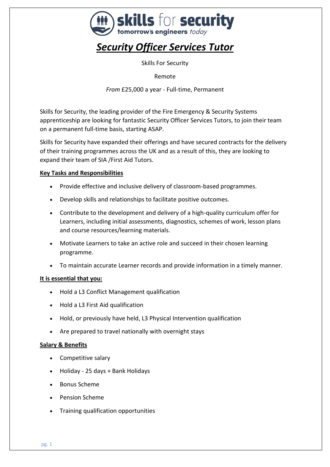

# *Security Officer Services Tutor*

Skills For Security

Remote

*From* £25,000 a year - Full-time, Permanent

Skills for Security, the leading provider of the Fire Emergency & Security Systems apprenticeship are looking for fantastic Security Officer Services Tutors, to join their team on a permanent full-time basis, starting ASAP.

Skills for Security have expanded their offerings and have secured contracts for the delivery of their training programmes across the UK and as a result of this, they are looking to expand their team of SIA /First Aid Tutors.

## **Key Tasks and Responsibilities**

- Provide effective and inclusive delivery of classroom-based programmes.
- Develop skills and relationships to facilitate positive outcomes.
- Contribute to the development and delivery of a high-quality curriculum offer for Learners, including initial assessments, diagnostics, schemes of work, lesson plans and course resources/learning materials.
- Motivate Learners to take an active role and succeed in their chosen learning programme.
- To maintain accurate Learner records and provide information in a timely manner.

#### **It is essential that you:**

- Hold a L3 Conflict Management qualification
- Hold a L3 First Aid qualification
- Hold, or previously have held, L3 Physical Intervention qualification
- Are prepared to travel nationally with overnight stays

#### **Salary & Benefits**

- Competitive salary
- Holiday 25 days + Bank Holidays
- Bonus Scheme
- Pension Scheme
- Training qualification opportunities